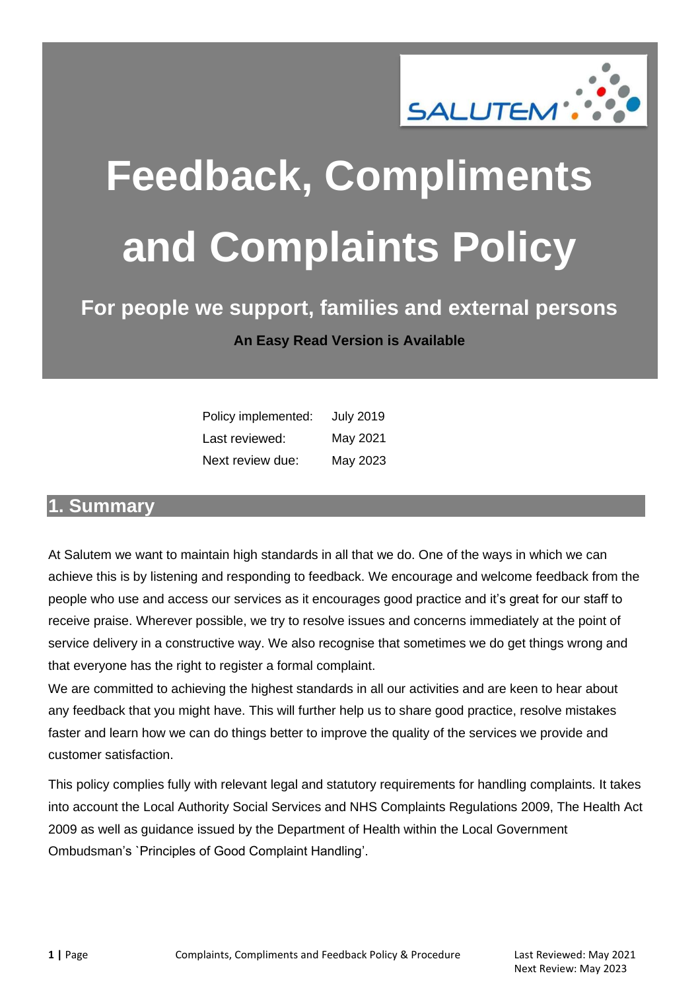

# **Feedback, Compliments and Complaints Policy**

#### **For people we support, families and external persons An Easy Read Version is Available**

| Policy implemented: | <b>July 2019</b> |
|---------------------|------------------|
| Last reviewed:      | May 2021         |
| Next review due:    | May 2023         |

#### <span id="page-0-0"></span>**1. Summary**

At Salutem we want to maintain high standards in all that we do. One of the ways in which we can achieve this is by listening and responding to feedback. We encourage and welcome feedback from the people who use and access our services as it encourages good practice and it's great for our staff to receive praise. Wherever possible, we try to resolve issues and concerns immediately at the point of service delivery in a constructive way. We also recognise that sometimes we do get things wrong and that everyone has the right to register a formal complaint.

We are committed to achieving the highest standards in all our activities and are keen to hear about any feedback that you might have. This will further help us to share good practice, resolve mistakes faster and learn how we can do things better to improve the quality of the services we provide and customer satisfaction.

This policy complies fully with relevant legal and statutory requirements for handling complaints. It takes into account the Local Authority Social Services and NHS Complaints Regulations 2009, The Health Act 2009 as well as guidance issued by the Department of Health within the Local Government Ombudsman's `Principles of Good Complaint Handling'.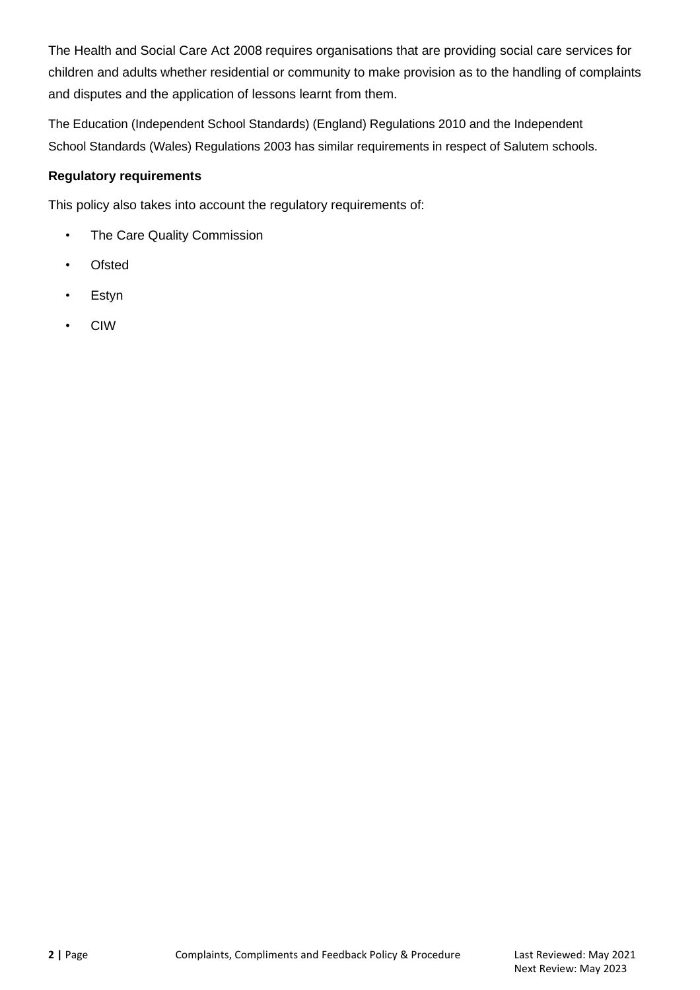The Health and Social Care Act 2008 requires organisations that are providing social care services for children and adults whether residential or community to make provision as to the handling of complaints and disputes and the application of lessons learnt from them.

The Education (Independent School Standards) (England) Regulations 2010 and the Independent School Standards (Wales) Regulations 2003 has similar requirements in respect of Salutem schools.

#### **Regulatory requirements**

This policy also takes into account the regulatory requirements of:

- The Care Quality Commission
- Ofsted
- Estyn
- CIW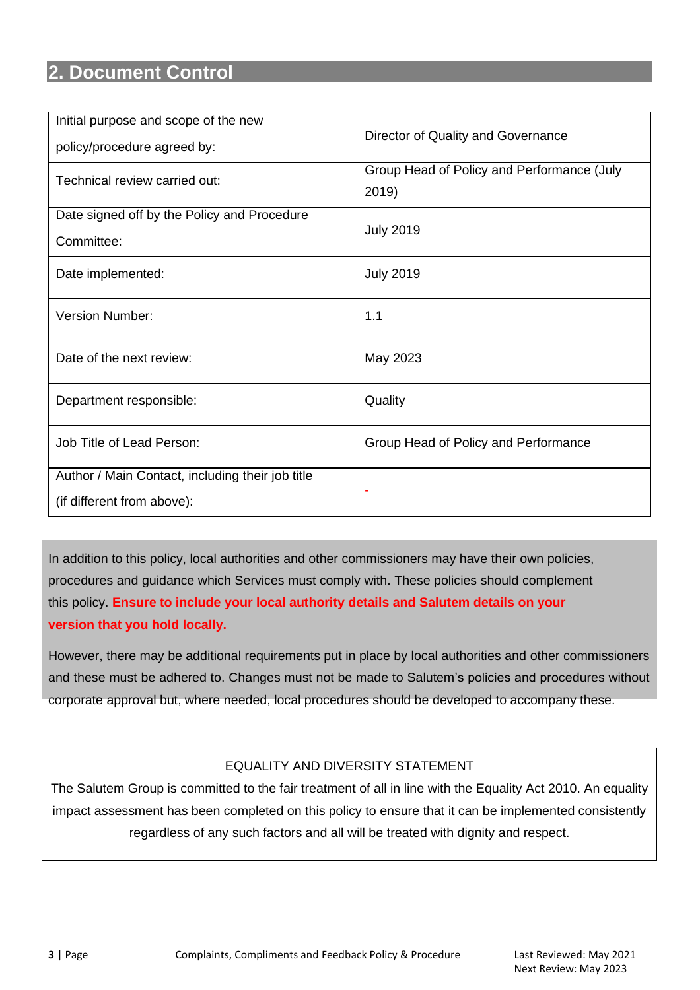#### <span id="page-2-0"></span>**2. Document Control**

| Initial purpose and scope of the new<br>policy/procedure agreed by:            | Director of Quality and Governance                  |
|--------------------------------------------------------------------------------|-----------------------------------------------------|
| Technical review carried out:                                                  | Group Head of Policy and Performance (July<br>2019) |
| Date signed off by the Policy and Procedure<br>Committee:                      | <b>July 2019</b>                                    |
| Date implemented:                                                              | <b>July 2019</b>                                    |
| <b>Version Number:</b>                                                         | 1.1                                                 |
| Date of the next review:                                                       | May 2023                                            |
| Department responsible:                                                        | Quality                                             |
| Job Title of Lead Person:                                                      | Group Head of Policy and Performance                |
| Author / Main Contact, including their job title<br>(if different from above): |                                                     |

In addition to this policy, local authorities and other commissioners may have their own policies, procedures and guidance which Services must comply with. These policies should complement this policy. **Ensure to include your local authority details and Salutem details on your version that you hold locally.**

However, there may be additional requirements put in place by local authorities and other commissioners and these must be adhered to. Changes must not be made to Salutem's policies and procedures without corporate approval but, where needed, local procedures should be developed to accompany these.

#### EQUALITY AND DIVERSITY STATEMENT

The Salutem Group is committed to the fair treatment of all in line with the Equality Act 2010. An equality impact assessment has been completed on this policy to ensure that it can be implemented consistently regardless of any such factors and all will be treated with dignity and respect.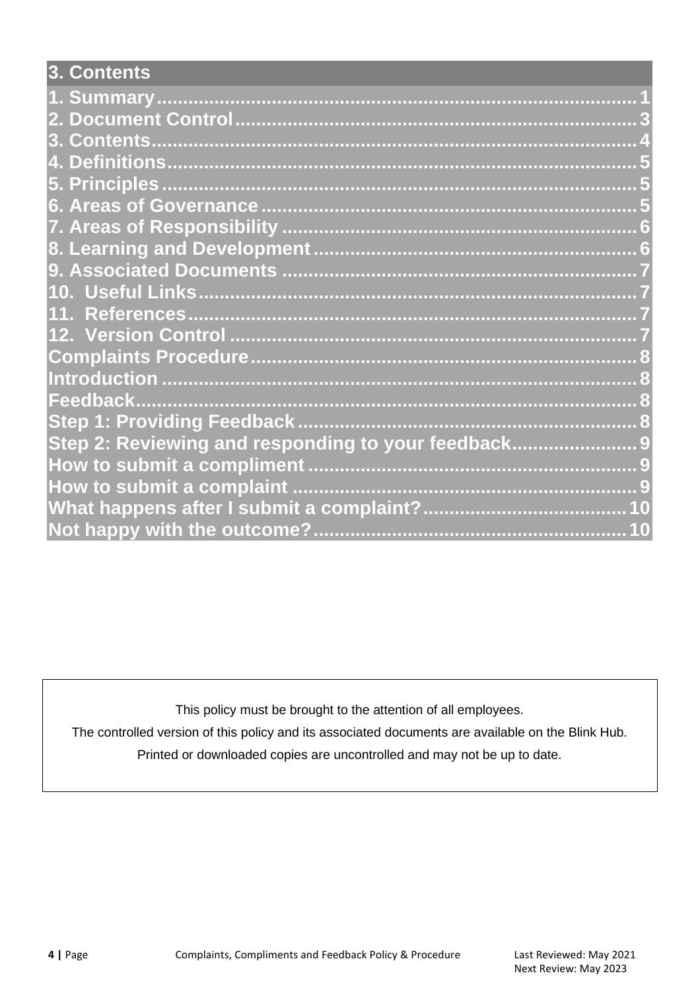<span id="page-3-0"></span>

| 3. Contents                                        |
|----------------------------------------------------|
|                                                    |
|                                                    |
|                                                    |
|                                                    |
|                                                    |
|                                                    |
|                                                    |
|                                                    |
|                                                    |
|                                                    |
|                                                    |
|                                                    |
|                                                    |
|                                                    |
|                                                    |
|                                                    |
| Step 2: Reviewing and responding to your feedback9 |
|                                                    |
|                                                    |
|                                                    |
|                                                    |

This policy must be brought to the attention of all employees.

The controlled version of this policy and its associated documents are available on the Blink Hub.

Printed or downloaded copies are uncontrolled and may not be up to date.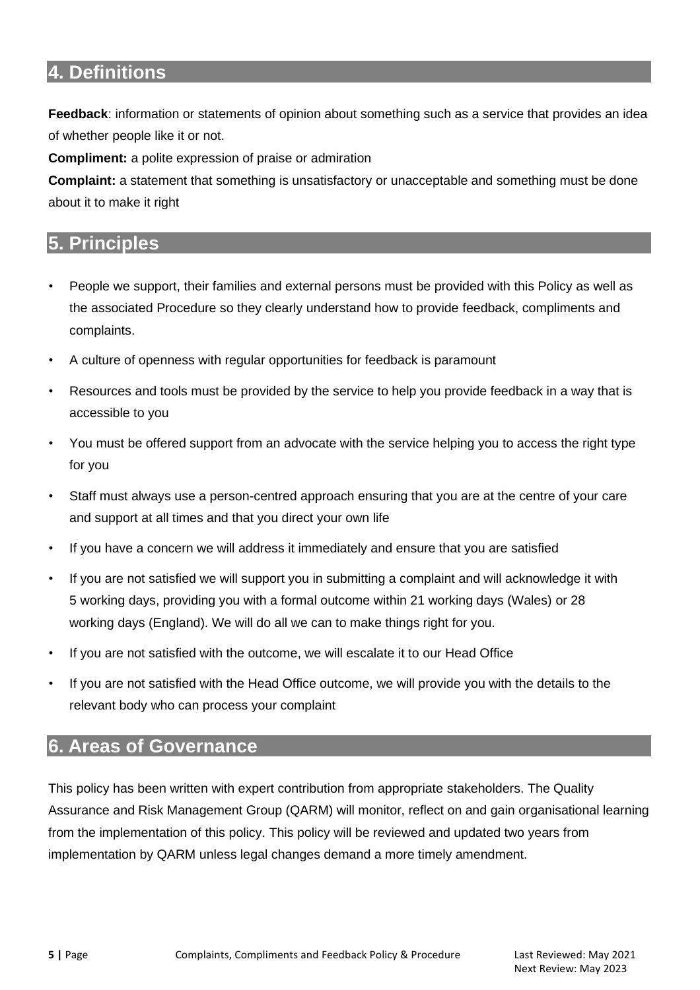#### <span id="page-4-0"></span>**4. Definitions**

**Feedback**: information or statements of opinion about something such as a service that provides an idea of whether people like it or not.

**Compliment:** a polite expression of praise or admiration

**Complaint:** a statement that something is unsatisfactory or unacceptable and something must be done about it to make it right

#### <span id="page-4-1"></span>**5. Principles**

- People we support, their families and external persons must be provided with this Policy as well as the associated Procedure so they clearly understand how to provide feedback, compliments and complaints.
- A culture of openness with regular opportunities for feedback is paramount
- Resources and tools must be provided by the service to help you provide feedback in a way that is accessible to you
- You must be offered support from an advocate with the service helping you to access the right type for you
- Staff must always use a person-centred approach ensuring that you are at the centre of your care and support at all times and that you direct your own life
- If you have a concern we will address it immediately and ensure that you are satisfied
- If you are not satisfied we will support you in submitting a complaint and will acknowledge it with 5 working days, providing you with a formal outcome within 21 working days (Wales) or 28 working days (England). We will do all we can to make things right for you.
- If you are not satisfied with the outcome, we will escalate it to our Head Office
- If you are not satisfied with the Head Office outcome, we will provide you with the details to the relevant body who can process your complaint

#### <span id="page-4-2"></span>**6. Areas of Governance**

This policy has been written with expert contribution from appropriate stakeholders. The Quality Assurance and Risk Management Group (QARM) will monitor, reflect on and gain organisational learning from the implementation of this policy. This policy will be reviewed and updated two years from implementation by QARM unless legal changes demand a more timely amendment.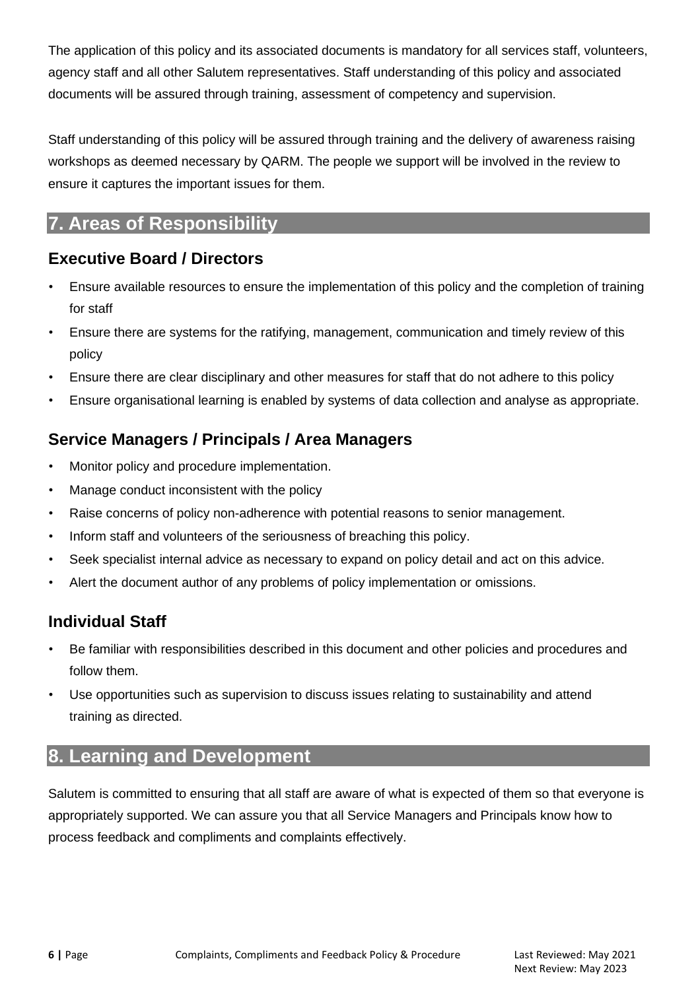The application of this policy and its associated documents is mandatory for all services staff, volunteers, agency staff and all other Salutem representatives. Staff understanding of this policy and associated documents will be assured through training, assessment of competency and supervision.

Staff understanding of this policy will be assured through training and the delivery of awareness raising workshops as deemed necessary by QARM. The people we support will be involved in the review to ensure it captures the important issues for them.

#### <span id="page-5-0"></span>**7. Areas of Responsibility**

#### **Executive Board / Directors**

- Ensure available resources to ensure the implementation of this policy and the completion of training for staff
- Ensure there are systems for the ratifying, management, communication and timely review of this policy
- Ensure there are clear disciplinary and other measures for staff that do not adhere to this policy
- Ensure organisational learning is enabled by systems of data collection and analyse as appropriate.

#### **Service Managers / Principals / Area Managers**

- Monitor policy and procedure implementation.
- Manage conduct inconsistent with the policy
- Raise concerns of policy non-adherence with potential reasons to senior management.
- Inform staff and volunteers of the seriousness of breaching this policy.
- Seek specialist internal advice as necessary to expand on policy detail and act on this advice.
- Alert the document author of any problems of policy implementation or omissions.

#### **Individual Staff**

- Be familiar with responsibilities described in this document and other policies and procedures and follow them.
- Use opportunities such as supervision to discuss issues relating to sustainability and attend training as directed.

#### <span id="page-5-1"></span>**8. Learning and Development**

Salutem is committed to ensuring that all staff are aware of what is expected of them so that everyone is appropriately supported. We can assure you that all Service Managers and Principals know how to process feedback and compliments and complaints effectively.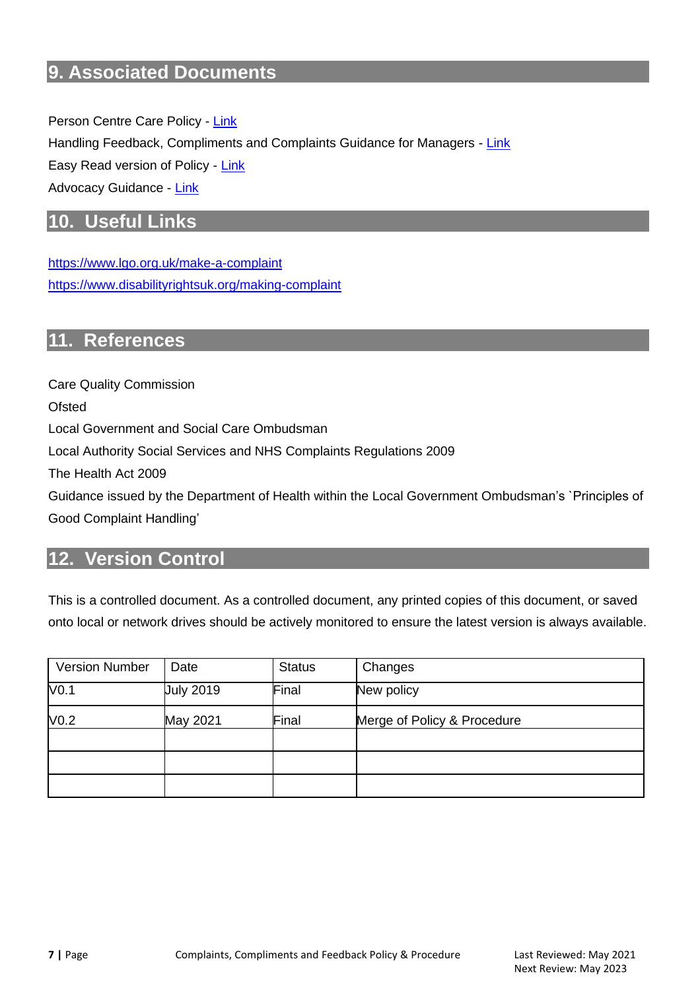#### <span id="page-6-0"></span>**9. Associated Documents**

Person Centre Care Policy - [Link](https://gallery.mailchimp.com/35dd07ec0636978466a601698/files/5207f33b-8466-47de-a77a-e6c853d13637/Person_centred_care_policy_v1.pdf) Handling Feedback, Compliments and Complaints Guidance for Managers - [Link](https://mcusercontent.com/35dd07ec0636978466a601698/files/698d522f-2f35-9af1-6465-7dc9a67c692e/Complaints_Guidance.pdf) Easy Read version of Policy - [Link](https://mcusercontent.com/35dd07ec0636978466a601698/files/7ff75058-91fe-43f3-fc86-6fbfaf23b0ac/Complaints_Easy_Read.pdf) Advocacy Guidance - [Link](https://mcusercontent.com/35dd07ec0636978466a601698/files/8614eb89-f402-7c04-d5b5-2a4de04c07c7/2._Guidance_Advocacy_Guidance.pdf)

#### <span id="page-6-1"></span>**10. Useful Links**

<https://www.lgo.org.uk/make-a-complaint> <https://www.disabilityrightsuk.org/making-complaint>

#### <span id="page-6-2"></span>**11. References**

Care Quality Commission **Ofsted** Local Government and Social Care Ombudsman Local Authority Social Services and NHS Complaints Regulations 2009 The Health Act 2009 Guidance issued by the Department of Health within the Local Government Ombudsman's `Principles of Good Complaint Handling'

#### <span id="page-6-3"></span>**12. Version Control**

This is a controlled document. As a controlled document, any printed copies of this document, or saved onto local or network drives should be actively monitored to ensure the latest version is always available.

| <b>Version Number</b> | Date             | <b>Status</b> | Changes                     |
|-----------------------|------------------|---------------|-----------------------------|
| V <sub>0.1</sub>      | <b>July 2019</b> | Final         | New policy                  |
| V <sub>0.2</sub>      | May 2021         | Final         | Merge of Policy & Procedure |
|                       |                  |               |                             |
|                       |                  |               |                             |
|                       |                  |               |                             |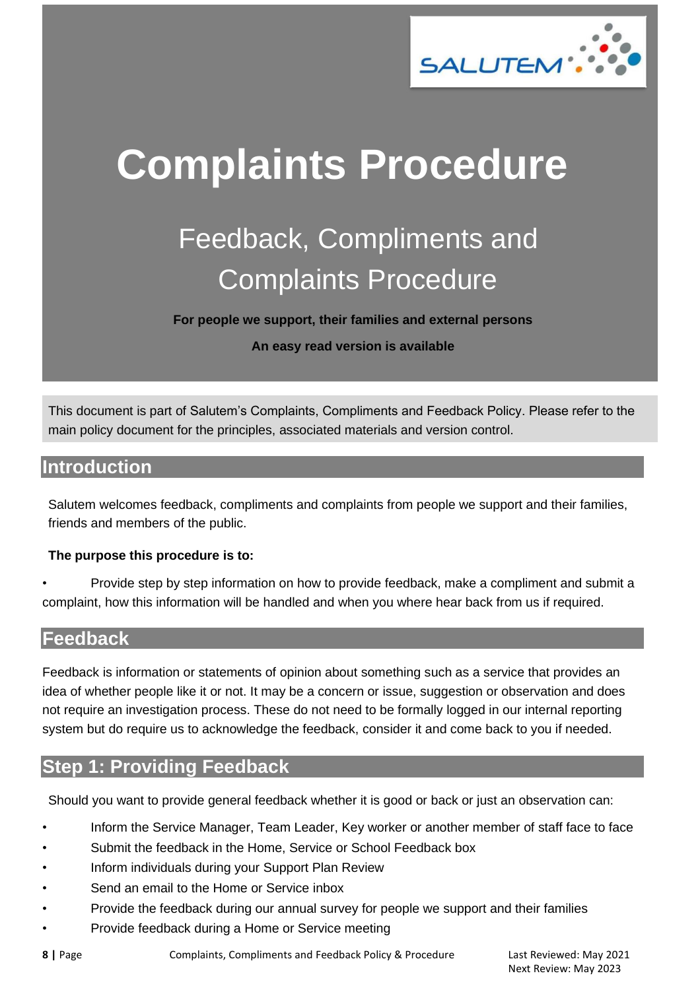

## <span id="page-7-0"></span>**Complaints Procedure**

### Feedback, Compliments and Complaints Procedure

**For people we support, their families and external persons**

**An easy read version is available**

This document is part of Salutem's Complaints, Compliments and Feedback Policy. Please refer to the main policy document for the principles, associated materials and version control.

#### <span id="page-7-1"></span>**Introduction**

Salutem welcomes feedback, compliments and complaints from people we support and their families, friends and members of the public.

#### **The purpose this procedure is to:**

• Provide step by step information on how to provide feedback, make a compliment and submit a complaint, how this information will be handled and when you where hear back from us if required.

#### <span id="page-7-2"></span>**Feedback**

Feedback is information or statements of opinion about something such as a service that provides an idea of whether people like it or not. It may be a concern or issue, suggestion or observation and does not require an investigation process. These do not need to be formally logged in our internal reporting system but do require us to acknowledge the feedback, consider it and come back to you if needed.

#### <span id="page-7-3"></span>**Step 1: Providing Feedback**

Should you want to provide general feedback whether it is good or back or just an observation can:

- Inform the Service Manager, Team Leader, Key worker or another member of staff face to face
- Submit the feedback in the Home, Service or School Feedback box
- Inform individuals during your Support Plan Review
- Send an email to the Home or Service inbox
- Provide the feedback during our annual survey for people we support and their families
- Provide feedback during a Home or Service meeting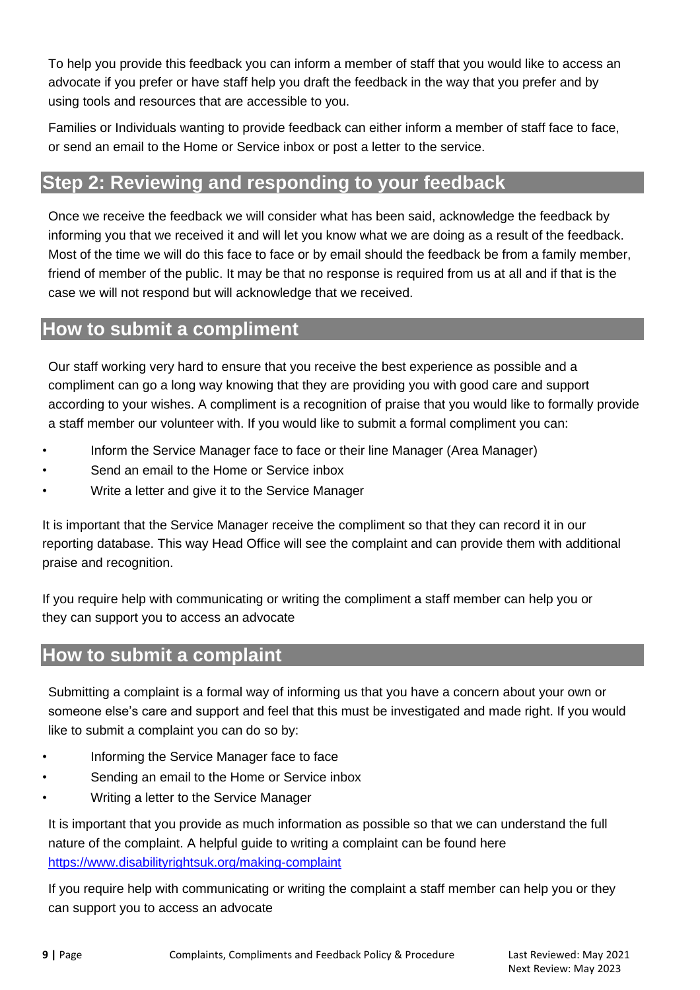To help you provide this feedback you can inform a member of staff that you would like to access an advocate if you prefer or have staff help you draft the feedback in the way that you prefer and by using tools and resources that are accessible to you.

Families or Individuals wanting to provide feedback can either inform a member of staff face to face, or send an email to the Home or Service inbox or post a letter to the service.

#### <span id="page-8-0"></span>**Step 2: Reviewing and responding to your feedback**

Once we receive the feedback we will consider what has been said, acknowledge the feedback by informing you that we received it and will let you know what we are doing as a result of the feedback. Most of the time we will do this face to face or by email should the feedback be from a family member, friend of member of the public. It may be that no response is required from us at all and if that is the case we will not respond but will acknowledge that we received.

#### <span id="page-8-1"></span>**How to submit a compliment**

Our staff working very hard to ensure that you receive the best experience as possible and a compliment can go a long way knowing that they are providing you with good care and support according to your wishes. A compliment is a recognition of praise that you would like to formally provide a staff member our volunteer with. If you would like to submit a formal compliment you can:

- Inform the Service Manager face to face or their line Manager (Area Manager)
- Send an email to the Home or Service inbox
- Write a letter and give it to the Service Manager

It is important that the Service Manager receive the compliment so that they can record it in our reporting database. This way Head Office will see the complaint and can provide them with additional praise and recognition.

If you require help with communicating or writing the compliment a staff member can help you or they can support you to access an advocate

#### <span id="page-8-2"></span>**How to submit a complaint**

Submitting a complaint is a formal way of informing us that you have a concern about your own or someone else's care and support and feel that this must be investigated and made right. If you would like to submit a complaint you can do so by:

- Informing the Service Manager face to face
- Sending an email to the Home or Service inbox
- Writing a letter to the Service Manager

It is important that you provide as much information as possible so that we can understand the full nature of the complaint. A helpful guide to writing a complaint can be found here https://www.disabilityrightsuk.org/making-complaint

If you require help with communicating or writing the complaint a staff member can help you or they can support you to access an advocate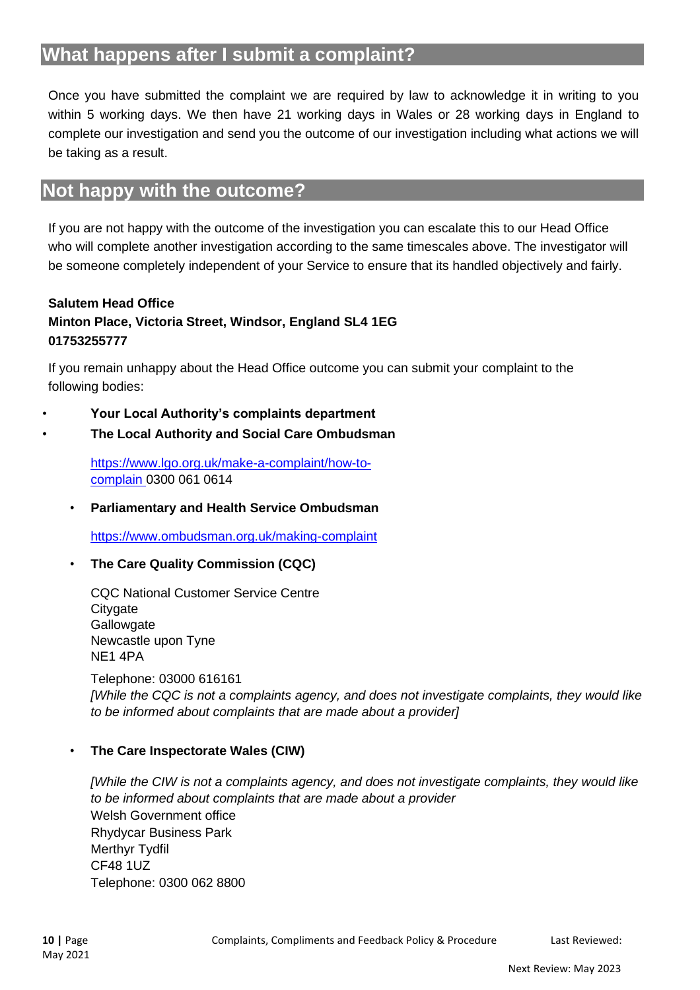#### <span id="page-9-0"></span>**What happens after I submit a complaint?**

Once you have submitted the complaint we are required by law to acknowledge it in writing to you within 5 working days. We then have 21 working days in Wales or 28 working days in England to complete our investigation and send you the outcome of our investigation including what actions we will be taking as a result.

#### <span id="page-9-1"></span>**Not happy with the outcome?**

If you are not happy with the outcome of the investigation you can escalate this to our Head Office who will complete another investigation according to the same timescales above. The investigator will be someone completely independent of your Service to ensure that its handled objectively and fairly.

#### **Salutem Head Office Minton Place, Victoria Street, Windsor, England SL4 1EG 01753255777**

If you remain unhappy about the Head Office outcome you can submit your complaint to the following bodies:

- **Your Local Authority's complaints department**
- **The Local Authority and Social Care Ombudsman**

https://www.lgo.org.uk/make-a-complaint/how-tocomplain 0300 061 0614

• **Parliamentary and Health Service Ombudsman** 

https://www.ombudsman.org.uk/making-complaint

• **The Care Quality Commission (CQC)**

CQC National Customer Service Centre **Citygate Gallowgate** Newcastle upon Tyne NE1 4PA

Telephone: 03000 616161 *[While the CQC is not a complaints agency, and does not investigate complaints, they would like to be informed about complaints that are made about a provider]*

#### • **The Care Inspectorate Wales (CIW)**

*[While the CIW is not a complaints agency, and does not investigate complaints, they would like to be informed about complaints that are made about a provider* Welsh Government office Rhydycar Business Park Merthyr Tydfil CF48 1UZ Telephone: 0300 062 8800